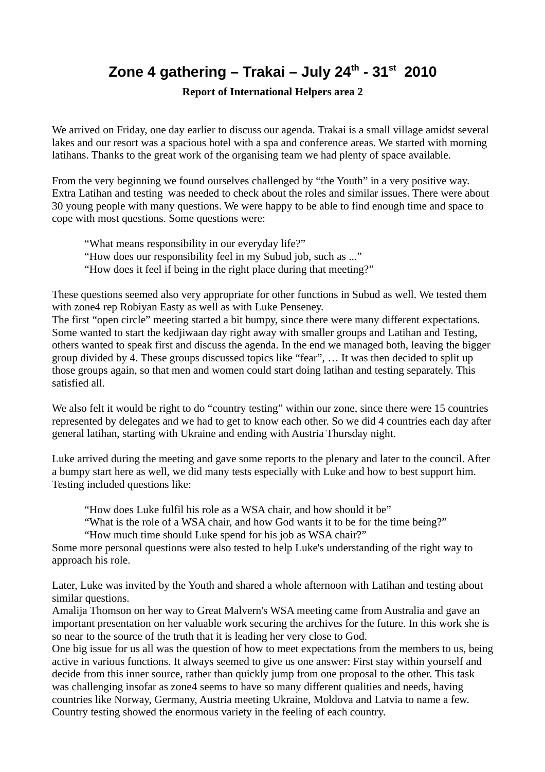## **Zone 4 gathering – Trakai – July 24th - 31st 2010**

**Report of International Helpers area 2**

We arrived on Friday, one day earlier to discuss our agenda. Trakai is a small village amidst several lakes and our resort was a spacious hotel with a spa and conference areas. We started with morning latihans. Thanks to the great work of the organising team we had plenty of space available.

From the very beginning we found ourselves challenged by "the Youth" in a very positive way. Extra Latihan and testing was needed to check about the roles and similar issues. There were about 30 young people with many questions. We were happy to be able to find enough time and space to cope with most questions. Some questions were:

"What means responsibility in our everyday life?" "How does our responsibility feel in my Subud job, such as ..." "How does it feel if being in the right place during that meeting?"

These questions seemed also very appropriate for other functions in Subud as well. We tested them with zone4 rep Robiyan Easty as well as with Luke Penseney.

The first "open circle" meeting started a bit bumpy, since there were many different expectations. Some wanted to start the kedjiwaan day right away with smaller groups and Latihan and Testing, others wanted to speak first and discuss the agenda. In the end we managed both, leaving the bigger group divided by 4. These groups discussed topics like "fear", … It was then decided to split up those groups again, so that men and women could start doing latihan and testing separately. This satisfied all.

We also felt it would be right to do "country testing" within our zone, since there were 15 countries represented by delegates and we had to get to know each other. So we did 4 countries each day after general latihan, starting with Ukraine and ending with Austria Thursday night.

Luke arrived during the meeting and gave some reports to the plenary and later to the council. After a bumpy start here as well, we did many tests especially with Luke and how to best support him. Testing included questions like:

"How does Luke fulfil his role as a WSA chair, and how should it be"

"What is the role of a WSA chair, and how God wants it to be for the time being?"

"How much time should Luke spend for his job as WSA chair?"

Some more personal questions were also tested to help Luke's understanding of the right way to approach his role.

Later, Luke was invited by the Youth and shared a whole afternoon with Latihan and testing about similar questions.

Amalija Thomson on her way to Great Malvern's WSA meeting came from Australia and gave an important presentation on her valuable work securing the archives for the future. In this work she is so near to the source of the truth that it is leading her very close to God.

One big issue for us all was the question of how to meet expectations from the members to us, being active in various functions. It always seemed to give us one answer: First stay within yourself and decide from this inner source, rather than quickly jump from one proposal to the other. This task was challenging insofar as zone4 seems to have so many different qualities and needs, having countries like Norway, Germany, Austria meeting Ukraine, Moldova and Latvia to name a few. Country testing showed the enormous variety in the feeling of each country.